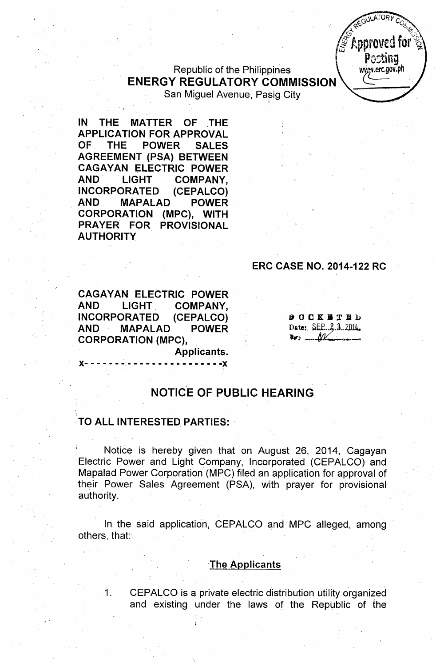$\mathscr{E}$  Approved for Postina wysy.erc.gov.ph

**ILATORY** 

### Republic of the Philippines ENERGY REGULATORY COMMISSION San Miguel Avenue, Pasig City

IN THE MATTER OF THE APPLICATION FOR APPROVAL OF. THE POWER SALES AGREEMENT (PSA) BETWEEN **CAGAYAN ELECTRIC POWER** AND LIGHT COMPANY. INCORPORA1ED (CEPALCO) AND MAPALAD POWER CORPORATION (MPC), WITH PRAYER FOR PROVISIONAL **AUTHORITY** 

### ERC CASE NO. 2014-122 RC

CAGAYAN ELECTRIC POWER AND LIGHT COMPANY, INCORPORATED (CEPALCO) AND MAPALAD POWER CORPORATION (MPC),

**DOCKETED** Date: SEP. 2.3.2014.  $\mathbf{w}$  .  $M$ 

Applicants.

**x- - - - - - ~,..- - - .. - - - - - - .. '- - - .;x**

# NOTICE OF PUBLIC HEARING

#### TO ALL INTERESTED PARTIES:

Notice is hereby given that on August 26, 2014, Cagayan Electric Power and Light Company, Incorporated (CEPALCO) and Mapalad Power Corporation (MPC) filed an application for approval of their Power Sales Agreement (PSA), with prayer for provisional authority.

In the said application, CEPALCO and MPC alleged, among others, that:

#### The Applicants

1. CEPALCO is a private electric distribution utility organized and existing under the laws of the Republic of the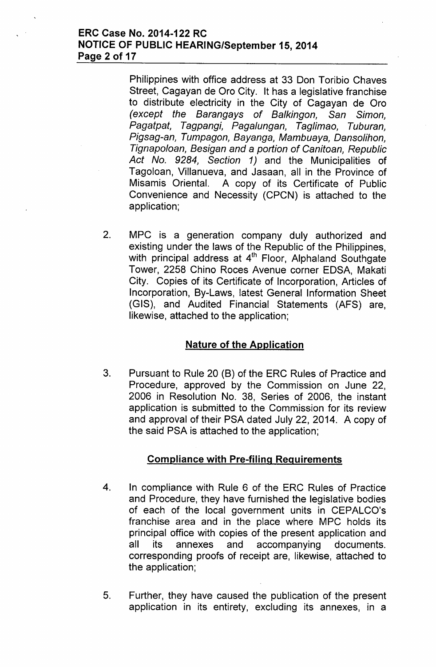### ERC Case No. 2014-122 RC NOTICE OF PUBLIC HEARING/September 15,2014 Page 2 of 17

Philippines with office address at 33 Don Toribio Chaves Street, Cagayan de Oro City. It has a legislative franchise to distribute electricity in the City of Cagayan de Oro *(except the Barangays* of *Balkingon, San Simon, Pagatpat, Tagpangi, Pagalungan, Taglimao, Tuburan, Pigsag-an, Tumpagon, Bayanga, Mambuaya, Dansolihon, Tignapoloan, Besigan and* a *portion* of *Canitoan, Republic Act No.* 9284, *Section* 1) and the Municipalities of Tagoloan, Villanueva, and Jasaan, all in the Province of Misamis Oriental. A copy of its Certificate of Public Convenience and Necessity (CPCN) is attached to the application;

2. MPC is a generation company duly authorized and existing under the laws of the Republic of the Philippines, with principal address at 4<sup>th</sup> Floor, Alphaland Southgate Tower, 2258 Chino Roces Avenue corner EDSA, Makati City. Copies of its Certificate of Incorporation, Articles of Incorporation, By-Laws, latest General Information Sheet (GIS), and Audited Financial Statements (AFS) are, likewise, attached to the application;

# Nature of the Application

3. Pursuant to Rule 20 (B) of the ERC Rules of Practice and Procedure, approved by the Commission on June 22, 2006 in Resolution No. 38, Series of 2006, the instant application is submitted to the Commission for its review and approval of their PSA dated July 22, 2014. A copy of the said PSA is attached to the application;

### Compliance with Pre-filing Requirements

- 4. In compliance with Rule 6 of the ERC Rules of Practice and Procedure, they have furnished the legislative bodies of each of the local government units in CEPALCO's franchise area and in the place where MPC holds its principal office with copies of the present application and all its annexes and accompanying documents. corresponding proofs of receipt are, likewise, attached to the application;
- 5. Further, they have caused the publication of the present application in its entirety, excluding its annexes, in a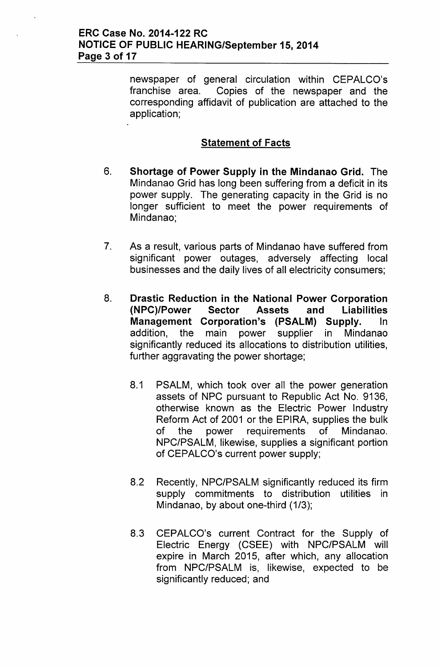newspaper of general circulation within CEPALCO's franchise area. Copies of the newspaper and the corresponding affidavit of publication are attached to the application;

# **Statement of Facts**

- 6. **Shortage of Power Supply in the Mindanao Grid.** The Mindanao Grid has long been suffering from a deficit in its power supply. The generating capacity in the Grid is no longer sufficient to meet the power requirements of Mindanao;
- 7. As a result, various parts of Mindanao have suffered from significant power outages, adversely affecting local businesses and the daily lives of all electricity consumers;
- 8. **Drastic Reduction in the National Power Corporation (NPC)/Power Sector Assets and Liabilities Management Corporation's (PSALM) Supply.** In addition, the main power supplier in Mindanao significantly reduced its allocations to distribution utilities, further aggravating the power shortage;
	- 8.1 PSALM, which took over all the power generation assets of NPC pursuant to Republic Act No. 9136, otherwise known as the Electric Power Industry Reform Act of 2001 or the EPIRA, supplies the bulk of the power requirements of Mindanao. NPC/PSALM, likewise, supplies a significant portion of CEPALCO's current power supply;
	- 8.2 Recently, NPC/PSALM significantly reduced its firm supply commitments to distribution utilities in Mindanao, by about one-third (1/3);
	- 8.3 CEPALCO's current Contract for the Supply of Electric Energy (CSEE) with NPC/PSALM will expire in March 2015, after which, any allocation from NPC/PSALM is, likewise, expected to be significantly reduced; and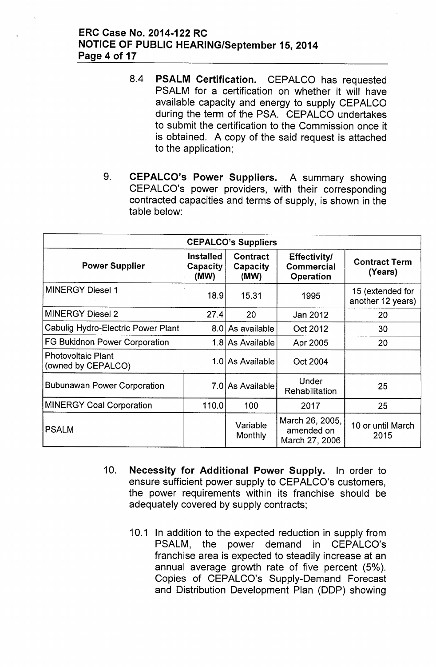### ERC Case No. 2014-122 RC NOTICE OF PUBLIC HEARING/September 15,2014 Page 4 of 17

- 8.4 PSALM Certification. CEPALCO has requested PSALM for a certification on whether it will have available capacity and energy to supply CEPALCO during the term of the PSA. CEPALCO undertakes to submit the certification to the Commission once it is obtained. A copy of the said request is attached to the application;
- 9. CEPALCO's Power Suppliers. A summary showing CEPALCO's power providers, with their corresponding contracted capacities and terms of supply, is shown in the table below:

| <b>CEPALCO's Suppliers</b>                      |                                      |                              |                                                       |                                       |  |  |
|-------------------------------------------------|--------------------------------------|------------------------------|-------------------------------------------------------|---------------------------------------|--|--|
| <b>Power Supplier</b>                           | <b>Installed</b><br>Capacity<br>(MW) | Contract<br>Capacity<br>(MW) | <b>Effectivity/</b><br><b>Commercial</b><br>Operation | <b>Contract Term</b><br>(Years)       |  |  |
| <b>MINERGY Diesel 1</b>                         | 18.9                                 | 15.31                        | 1995                                                  | 15 (extended for<br>another 12 years) |  |  |
| <b>MINERGY Diesel 2</b>                         | 27.4                                 | 20                           | Jan 2012                                              | 20                                    |  |  |
| Cabulig Hydro-Electric Power Plant              |                                      | 8.0 As available             | Oct 2012                                              | 30                                    |  |  |
| <b>FG Bukidnon Power Corporation</b>            |                                      | 1.8 As Available             | Apr 2005                                              | 20                                    |  |  |
| <b>Photovoltaic Plant</b><br>(owned by CEPALCO) |                                      | 1.0 As Available             | Oct 2004                                              |                                       |  |  |
| <b>Bubunawan Power Corporation</b>              |                                      | 7.0 As Available             | Under<br><b>Rehabilitation</b>                        | 25                                    |  |  |
| <b>MINERGY Coal Corporation</b>                 | 110.0                                | 100                          | 2017                                                  | 25                                    |  |  |
| <b>PSALM</b>                                    |                                      | Variable<br>Monthly          | March 26, 2005,<br>amended on<br>March 27, 2006       | 10 or until March<br>2015             |  |  |

- 10. Necessity for Additional Power Supply. In order to ensure sufficient power supply to CEPALCO's customers, the power requirements within its franchise should be adequately covered by supply contracts;
	- 10.1 In addition to the expected reduction in supply from PSALM, the power demand in CEPALCO's franchise area is expected to steadily increase at an annual average growth rate of five percent (5%). Copies of CEPALCO's Supply-Demand Forecast and Distribution Development Plan (DDP) showing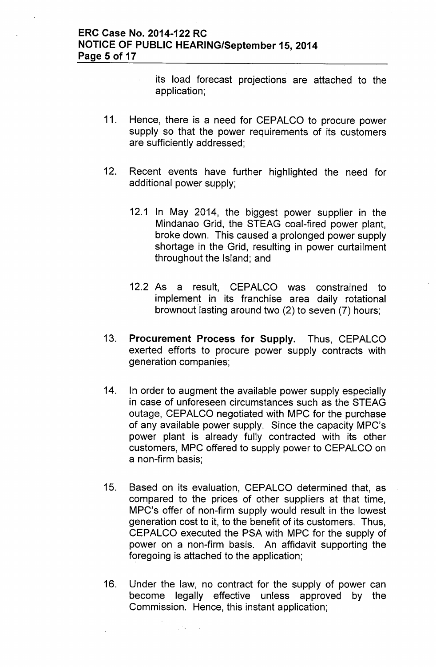$\hat{\mathcal{L}}$ 

- its load forecast projections are attached to the application;
- 11. Hence, there is a need for CEPALCO to procure power supply so that the power requirements of its customers are sufficiently addressed;
- 12. Recent events have further highlighted the need for additional power supply;
	- 12.1 In May 2014, the biggest power supplier in the Mindanao Grid, the STEAG coal-fired power plant, broke down. This caused a prolonged power supply shortage in the Grid, resulting in power curtailment throughout the Island; and
	- 12.2 As a result, CEPALCO was constrained to implement in its franchise area daily rotational brownout lasting around two (2) to seven (7) hours;
- 13. Procurement Process for Supply. Thus, CEPALCO exerted efforts to procure power supply contracts with generation companies;
- 14. In order to augment the available power supply especially in case of unforeseen circumstances such as the STEAG outage, CEPALCO negotiated with MPC for the purchase of any available power supply. Since the capacity MPC's power plant is already fully contracted with its other customers, MPC offered to supply power to CEPALCO on a non-firm basis;
- 15. Based on its evaluation, CEPALCO determined that, as compared to the prices of other suppliers at that time, MPC's offer of non-firm supply would result in the lowest generation cost to it, to the benefit of its customers. Thus, CEPALCO executed the PSA with MPC for the supply of power on a non-firm basis. An affidavit supporting the foregoing is attached to the application;
- 16. Under the law, no contract for the supply of power can become legally effective unless approved by the Commission. Hence, this instant application;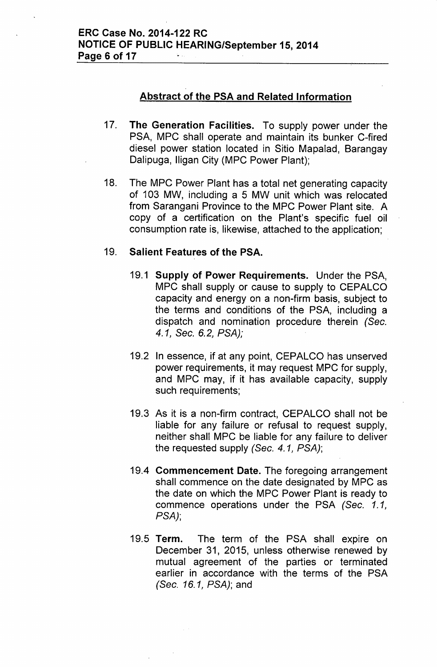### Abstract of the PSA and Related Information

- 17. The Generation Facilities. To supply power under the PSA, MPC shall operate and maintain its bunker C-fired diesel power station located in Sitio Mapalad, Barangay Dalipuga, lIigan City (MPC Power Plant);
- 18. The MPC Power Plant has a total net generating capacity of 103 MW, including a 5 MW unit which was relocated from Sarangani Province to the MPC Power Plant site. A copy of a certification on the Plant's specific fuel oil consumption rate is, likewise, attached to the application;

### 19. Salient Features of the PSA.

- 19.1 Supply of Power Requirements. Under the PSA, MPC shall supply or cause to supply to CEPALCO capacity and energy on a non-firm basis, subject to the terms and conditions of the PSA, including a dispatch and nomination procedure therein *(Sec. 4.1, Sec.* 6.2, *PSA);*
- 19.2 In essence, if at any point, CEPALCO has unserved power requirements, it may request MPC for supply, and MPC may, if it has available capacity, supply such requirements;
- 19.3 As it is a non-firm contract, CEPALCO shall not be liable for any failure or refusal to request supply, neither shall MPC be liable for any failure to deliver the requested supply *(Sec.* 4.1, *PSA);*
- 19.4 Commencement Date. The foregoing arrangement shall commence on the date designated by MPC as the date on which the MPC Power Plant is ready to commence operations under the PSA *(Sec. 1.1, PSA);*
- 19.5 Term. The term of the PSA shall expire on December 31, 2015, unless otherwise renewed by mutual agreement of the parties or terminated earlier in accordance with the terms of the PSA *(Sec.* 16.1, *PSA);* and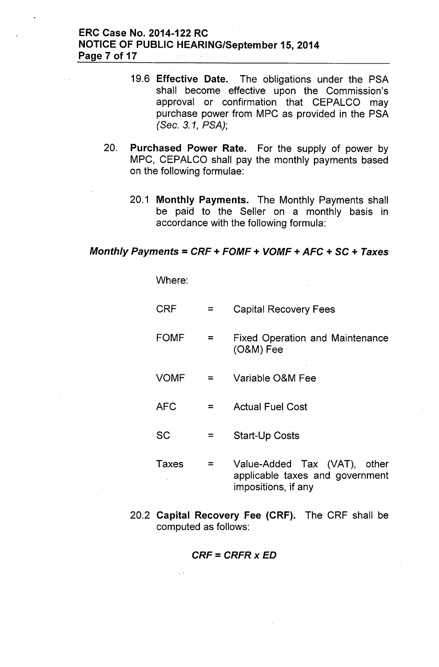### **ERC Case No. 2014-122 RC NOTICE OF PUBLIC HEARING/September 15,2014 Page 7 of 17**

- 19.6 **Effective Date.** The obligations under the PSA shall become effective upon the Commission's approval or confirmation that CEPALCO may purchase power from MPC as provided in the PSA *(Sec.* 3.1, *PSA);*
- 20. **Purchased Power Rate.** For the supply of power by MPC, CEPALCO shall pay the monthly payments based on the following formulae:
	- 20.1 **Monthly Payments.** The Monthly Payments shall be paid to the Seller on a monthly basis in accordance with the following formula:

## *Monthly Payments* = *CRF* **+** *FOMF* **+** *VOMF* **+** *AFC* **+ SC +** *Taxes*

Where:

- CRF  $=$ Capital Recovery Fees
- FOMF  $=$ Fixed Operation and Maintenance (O&M) Fee
- VOMF = Variable O&M Fee
- AFC  $=$ Actual Fuel Cost
- SC  $=$ Start-Up Costs
- Taxes  $=$ Value-Added Tax (VAT), other applicable taxes and government impositions, if any
- 20.2 **Capital Recovery Fee (CRF).** The CRF shall be computed as follows:

$$
CRF = CRFR \times ED
$$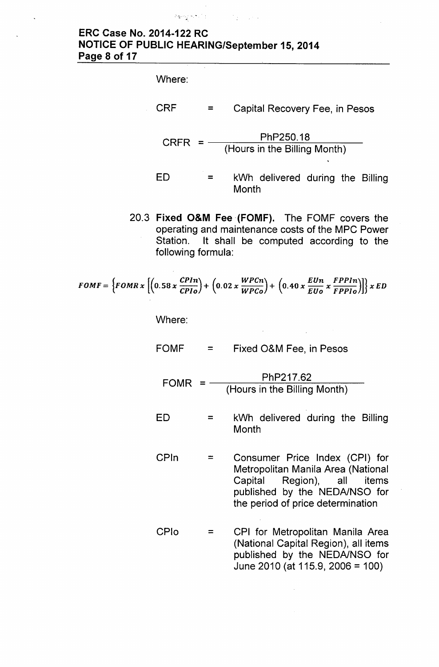# ERC Case No. 2014-122 RC NOTICE OF PUBLIC HEARING/September 15,2014 Page 8 of 17

'-"~';:' ."':"; '.,"

Where:

CRF  $=$ Capital Recovery Fee, in Pesos

 $CRFR = -$ PhP250.18 (Hours in the Billing Month)

- ED = kWh delivered during the Billing **Month**
- 20.3 Fixed O&M Fee (FOMF). The FOMF covers the operating and maintenance costs of the MPC Power Station. It shall be computed according to the following formula:

$$
FOMF = \left\{FOMR \times \left[ \left(0.58 \times \frac{CPIn}{CPIo}\right) + \left(0.02 \times \frac{WPCn}{WPCo}\right) + \left(0.40 \times \frac{EUn}{EUo} \times \frac{FPPIn}{FPPIo}\right)\right] \right\} \times ED
$$

Where:

- FOMF = Fixed O&M Fee, in Pesos
	- FOMR  $=$   $-$ PhP217.62 (Hours in the Billing Month)
- ED = kWh delivered during the Billing **Month**
- CPln = Consumer Price Index (CPI) for Metropolitan Manila Area (National Capital Region), all items published by the NEDA/NSO for the period of price determination
- CPlo  $=$ CPI for Metropolitan Manila Area (National Capital Region), all items published by the NEDA/NSO for June 2010 (at 115.9, 2006 = 100)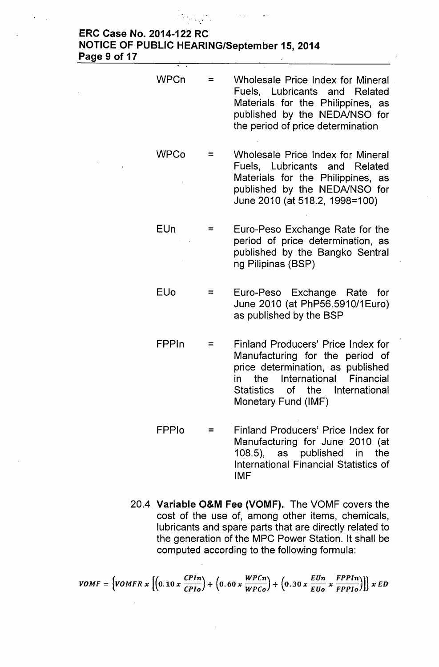#### ERC Case No. 2014-122 RC NOTICE OF PUBLIC HEARING/September 15,2014 Page 9 of 17 ..

| <b>WPCn</b> | $=$ | Wholesale Price Index for Mineral<br>Fuels, Lubricants and Related<br>Materials for the Philippines, as<br>published by the NEDA/NSO for<br>the period of price determination                                |
|-------------|-----|--------------------------------------------------------------------------------------------------------------------------------------------------------------------------------------------------------------|
| <b>WPCo</b> | $=$ | <b>Wholesale Price Index for Mineral</b><br>Fuels, Lubricants and Related<br>Materials for the Philippines, as<br>published by the NEDA/NSO for<br>June 2010 (at 518.2, 1998=100)                            |
| EUn         | $=$ | Euro-Peso Exchange Rate for the<br>period of price determination, as<br>published by the Bangko Sentral<br>ng Pilipinas (BSP)                                                                                |
| <b>EUo</b>  | $=$ | Euro-Peso Exchange Rate for<br>June 2010 (at PhP56.5910/1Euro)<br>as published by the BSP                                                                                                                    |
| FPPIn       | $=$ | Finland Producers' Price Index for<br>Manufacturing for the period of<br>price determination, as published<br>International Financial<br>the<br>in<br>Statistics of the International<br>Monetary Fund (IMF) |

- FPPlo = Finland Producers' Price Index for Manufacturing for June 2010 (at 108.5), as published in the International Financial Statistics of IMF
- 20.4 Variable O&M Fee (VOMF). The VOMF covers the cost of the use of, among other items, chemicals, lubricants and spare parts that are directly related to the generation of the MPC Power Station. It shall be computed according to the following formula:

VOMF =  $\left\{VOMFR x \left[\left(0.10 x \frac{C FIR}{C P I o}\right) + \left(0.60 x \frac{W F C n}{W P C o}\right) + \left(0.30 x \frac{E U n}{E U o} x \frac{F P F In}{F P P I o}\right)\right]\right\} x ED$ 

#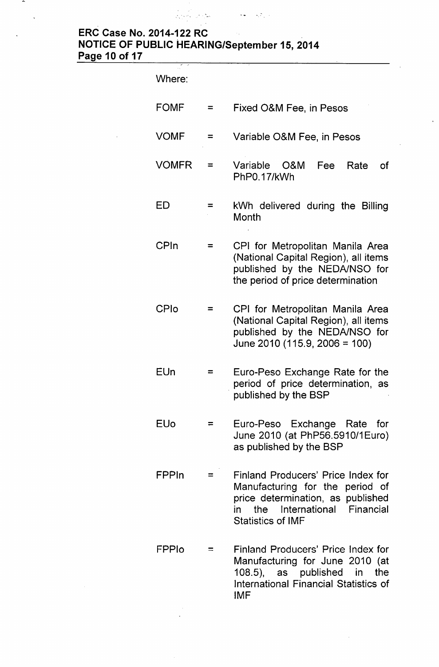# ERC Case No. 2014-122 RC NOTICE OF PUBLIC HEARING/September 15,2014 Page 10 of 17

an Salaman Salaman<br>Kabupatèn Salaman

 $\mathcal{O}(\mathcal{O}(\mathbf{w})) = \mathcal{O}(\mathcal{O}_\mathcal{Q}(\mathbf{w}))$ 

 $\ddot{\phantom{1}}$ 

 $\ddot{\phantom{1}}$ 

| Where:       |     |                                                                                                                                                                             |
|--------------|-----|-----------------------------------------------------------------------------------------------------------------------------------------------------------------------------|
| <b>FOMF</b>  | $=$ | Fixed O&M Fee, in Pesos                                                                                                                                                     |
| VOMF         | $=$ | Variable O&M Fee, in Pesos                                                                                                                                                  |
| <b>VOMFR</b> | =   | Variable O&M<br>Fee<br>Rate<br>оf<br>PhP0.17/kWh                                                                                                                            |
| ED           | =   | kWh delivered during the Billing<br>Month                                                                                                                                   |
| CPIn         | =   | CPI for Metropolitan Manila Area<br>(National Capital Region), all items<br>published by the NEDA/NSO for<br>the period of price determination                              |
| CPIo         | =   | CPI for Metropolitan Manila Area<br>(National Capital Region), all items<br>published by the NEDA/NSO for<br>June 2010 (115.9, 2006 = 100)                                  |
| EUn          |     | Euro-Peso Exchange Rate for the<br>period of price determination,<br>as<br>published by the BSP                                                                             |
| <b>EUo</b>   | $=$ | Euro-Peso Exchange Rate for<br>June 2010 (at PhP56.5910/1Euro)<br>as published by the BSP                                                                                   |
| FPPIn        | =   | Finland Producers' Price Index for<br>Manufacturing for the period of<br>price determination, as published<br>the International Financial<br>in<br><b>Statistics of IMF</b> |
| FPPIO        | $=$ | Finland Producers' Price Index for<br>Manufacturing for June 2010 (at<br>108.5), as published in the<br><b>International Financial Statistics of</b><br><b>IMF</b>          |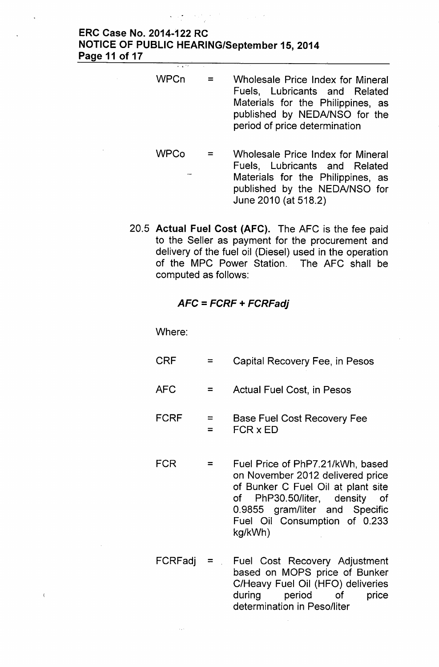### **ERC Case No. 2014-122 RC NOTICE OF PUBLIC HEARING/September 15,2014 Page 11 of 17**

**WPCn WPCo** = = Wholesale Price Index for Mineral Fuels, Lubricants and Related Materials for the Philippines, as published by NEDA/NSO for the period of price determination Wholesale Price Index for Mineral Fuels, Lubricants and Related Materials for the Philippines, as published by the NEDA/NSO for

June 2010 (at 518.2)

20.5 **Actual Fuel Cost (AFC).** The AFC is the fee paid to the Seller as payment for the procurement and delivery of the fuel oil (Diesel) used in the operation of the MPC Power Station. The AFC shall be computed as follows:

### *AFC* **=** *FCRF* **+** *FCRFadj*

Where:

 $\epsilon$ 

- CRF  $=$ Capital Recovery Fee, in Pesos
- AFC  $=$ Actual Fuel Cost, in Pesos
- FCRF =  $=$ Base Fuel Cost Recovery Fee FCR x ED
- FCR = Fuel Price of PhP7.21/kWh, based on November 2012 delivered price of Bunker C Fuel Oil at plant site of PhP30.50/liter, density of 0.9855 gram/liter and Specific Fuel Oil Consumption of 0.233 kg/kWh)
- $FCRFadj =$  Fuel Cost Recovery Adjustment based on MOPS price of Bunker C/Heavy Fuel Oil (HFO) deliveries during period of price determination in Peso/liter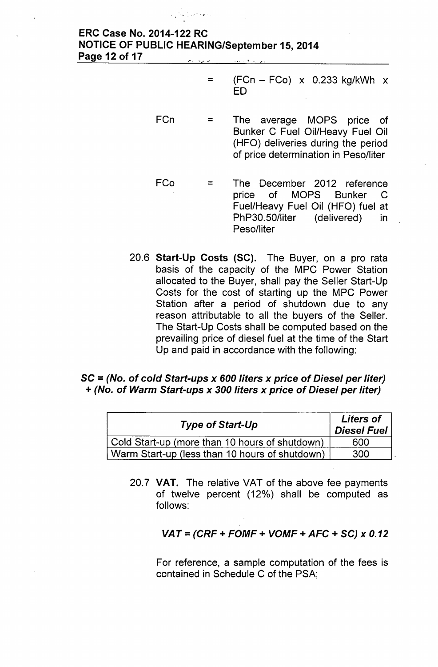#### .". - '! -. .•.••..~ ERC Case No. 2014-122 RC NOTICE OF PUBLIC HEARING/September 15,2014 Page 12 of 17

- $=$  (FCn FCo) x 0.233 kg/kWh x ED
- FCn = The average MOPS price of Bunker C Fuel Oil/Heavy Fuel Oil (HFO) deliveries during the period of price determination in Peso/liter
- FCo = The December 2012 reference price of MOPS Bunker C Fuel/Heavy Fuel Oil (HFO) fuel at PhP30.50/liter (delivered) in Peso/liter
- 20.6 Start-Up Costs (SC). The Buyer, on a pro rata basis of the capacity of the MPC Power Station allocated to the Buyer, shall pay the Seller Start-Up Costs for the cost of starting up the MPC Power Station after a period of shutdown due to any reason attributable to all the buyers of the Seller. The Start-Up Costs shall be computed based on the prevailing price of diesel fuel at the time of the Start Up and paid in accordance with the following:

### SC = *(No.* of *cold Start-ups x 600 liters x price* of *Diesel per liter) + (No.* of *Warm Start-ups x 300 liters x price* of *Diesel per liter)*

| <b>Type of Start-Up</b>                        | <b>Liters of</b><br><b>Diesel Fuel</b> |  |
|------------------------------------------------|----------------------------------------|--|
| Cold Start-up (more than 10 hours of shutdown) | 600                                    |  |
| Warm Start-up (less than 10 hours of shutdown) | 300                                    |  |

20.7 VAT. The relative VAT of the above fee payments of twelve percent (12%) shall be computed as follows:

### *VAT* = *(CRF* + *FOMF* + *VOMF* + *AFC* + *SC) x 0.12*

For reference, a sample computation of the fees is contained in Schedule C of the PSA;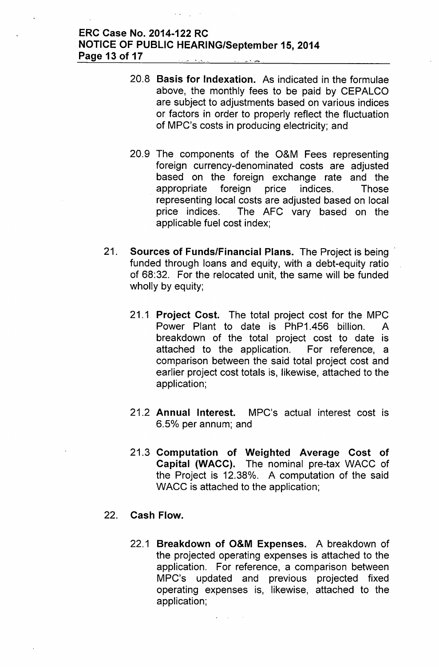### **ERC Case No. 2014-122 RC NOTICE OF PUBLIC HEARING/September 15,2014 Page 13 of 17**

- 20.8 **Basis for Indexation.** As indicated in the formulae above, the monthly fees to be paid by CEPALCO are subject to adjustments based on various indices or factors in order to properly reflect the fluctuation of MPC's costs in producing electricity; and
- 20.9 The components of the O&M Fees representing foreign currency-denominated costs are adjusted based on the foreign exchange rate and the appropriate foreign price indices. Those representing local costs are adjusted based on local price indices. The AFC vary based on the applicable fuel cost index;
- 21. **Sources of Funds/Financial Plans.** The Project is being' funded through loans and equity, with a debt-equity ratio of 68:32. For the relocated unit, the same will be funded wholly by equity;
	- 21.1 **Project Cost.** The total project cost for the MPC Power Plant to date is PhP1.456 billion. A breakdown of the total project cost to date is attached to the application. For reference, a comparison between the said total project cost and earlier project cost totals is, likewise, attached to the application;
	- 21.2 **Annual Interest.** MPC's actual interest cost is 6.5% per annum; and
	- 21.3 **Computation of Weighted Average Cost of Capital (WACC).** The nominal pre-tax WACC of the Project is 12.38%. A computation of the said WACC is attached to the application;

### 22. **Cash Flow.**

22.1 **Breakdown of O&M Expenses.** A breakdown of the projected operating expenses is attached to the application. For reference, a comparison between MPC's updated and previous projected fixed operating expenses is, likewise, attached to the application;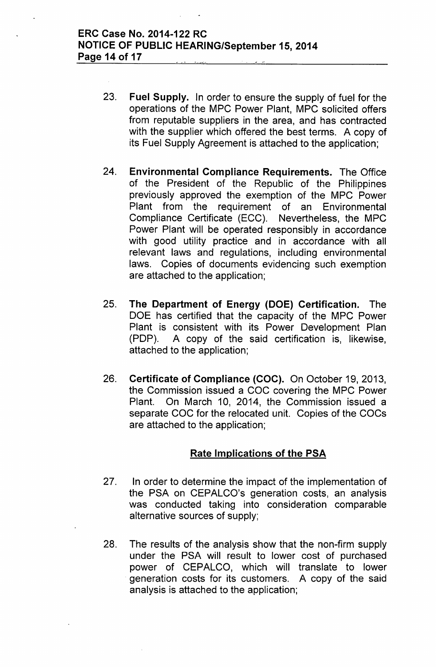- 23. Fuel Supply. In order to ensure the supply of fuel for the operations of the MPC Power Plant, MPC solicited offers from reputable suppliers in the area, and has contracted with the supplier which offered the best terms. A copy of its Fuel Supply Agreement is attached to the application;
- 24. Environmental Compliance Requirements. The Office of the President of the Republic of the Philippines previously approved the exemption of the MPC Power Plant from the requirement of an Environmental Compliance Certificate (ECC). Nevertheless, the MPC Power Plant will be operated responsibly in accordance with good utility practice and in accordance with all relevant laws and regulations, including environmental laws. Copies of documents evidencing such exemption are attached to the application;
- 25. The Department of Energy (DOE) Certification. The DOE has certified that the capacity of the MPC Power Plant is consistent with its Power Development Plan (PDP). A copy of the said certification is, likewise, attached to the application;
- 26. Certificate of Compliance (CDC). On October 19, 2013, the Commission issued a COC covering the MPC Power Plant. On March 10, 2014, the Commission issued a separate COC for the relocated unit. Copies of the COCs are attached to the application;

### Rate Implications of the PSA

- 27. In order to determine the impact of the implementation of the PSA on CEPALCO's generation costs, an analysis was conducted taking into consideration comparable alternative sources of supply;
- 28. The results of the analysis show that the non-firm supply under the PSA will result to lower cost of purchased power of CEPALCO, which will translate to lower . generation costs for its customers. A copy of the said analysis is attached to the application;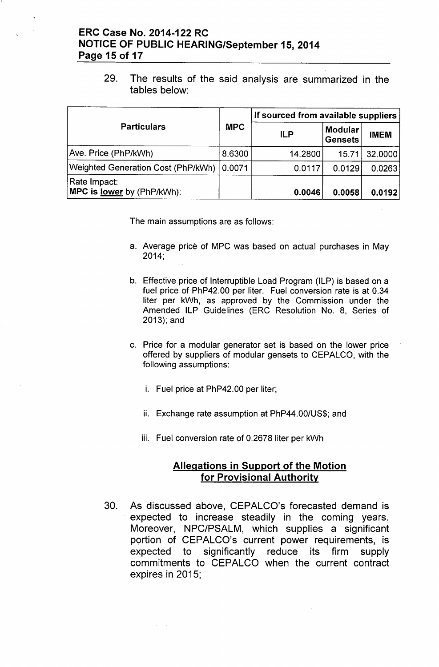### ERC Case No. 2014-122 RC NOTICE OF PUBLIC HEARING/September 15,2014 Page 15 of 17

29. The results of the said analysis are summarized in the tables below:

|                                                   | <b>MPC</b> | If sourced from available suppliers |                                  |             |  |
|---------------------------------------------------|------------|-------------------------------------|----------------------------------|-------------|--|
| <b>Particulars</b>                                |            | <b>ILP</b>                          | <b>Modular</b><br><b>Gensets</b> | <b>IMEM</b> |  |
| Ave. Price (PhP/kWh)                              | 8.6300     | 14.2800                             | 15.71                            | 32.0000     |  |
| Weighted Generation Cost (PhP/kWh)                | 0.0071     | 0.0117                              | 0.0129                           | 0.0263      |  |
| Rate Impact:<br>MPC is <u>lower</u> by (PhP/kWh): |            | 0.0046                              | 0.0058                           | 0.0192      |  |

The main assumptions are as follows:

- a. Average price of MPC was based on actual purchases in May 2014;
- b. Effective price of Interruptible Load Program (ILP) is based on a fuel price of PhP42.00 per liter. Fuel conversion rate is at 0.34 liter per kWh, as approved by the Commission under the Amended ILP Guidelines (ERC Resolution No. 8, Series of 2013); and
- c. Price for a modular generator set is based on the lower price offered by suppliers of modular gensets to CEPALCO, with the following assumptions:
	- i. Fuel price at PhP42.00 per liter;
	- ii. Exchange rate assumption at PhP44.00/US\$; and
	- iii. Fuel conversion rate of 0.2678 liter per kwh

### Allegations in Support of the Motion for Provisional Authority

30. As discussed above, CEPALCO's forecasted demand is expected to increase steadily in the coming years. Moreover, NPC/PSALM, which supplies a significant portion of CEPALCO's current power requirements, is expected to significantly reduce its firm supply commitments to CEPALCO when the current contract expires in 2015;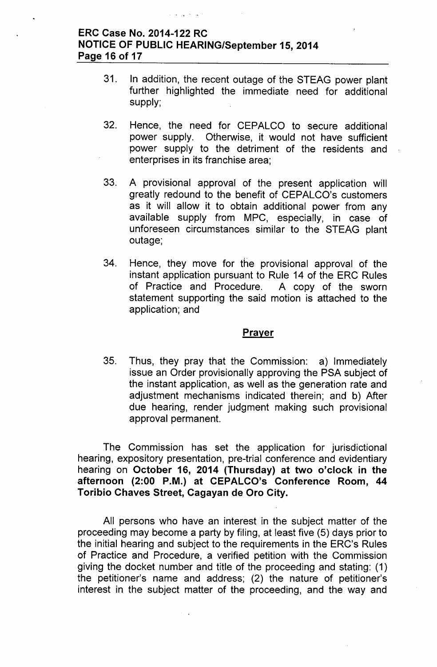### ERC Case No. 2014-122 RC NOTICE OF PUBLIC HEARING/September 15,2014 Page 16 of 17

- 31. In addition, the recent outage of the STEAG power plant further highlighted the immediate need for additional supply;
- 32. Hence, the need for CEPALCO to secure additional power supply. Otherwise, it would not have sufficient power supply to the detriment of the residents and enterprises in its franchise area;
- 33. A provisional approval of the present application will greatly redound to the benefit of CEPALCO's customers as it will allow it to obtain additional power from any available supply from MPC, especially, in case of unforeseen circumstances similar to the STEAG plant outage;
- 34. Hence, they move for the provisional approval of the instant application pursuant to Rule 14 of the ERC Rules of Practice and Procedure. A copy of the sworn statement supporting the said motion is attached to the application; and

#### **Prayer**

35. Thus, they pray that the Commission: a) Immediately issue an Order provisionally approving the PSA subject of the instant application, as well as the generation rate and adjustment mechanisms indicated therein; and b) After due hearing, render judgment making such provisional approval permanent.

The Commission has set the application for jurisdictional hearing, expository presentation, pre-trial conference and evidentiary hearing on October 16, 2014 (Thursday) at two o'clock in the afternoon (2:00 P.M.) at CEPALCO's Conference Room, 44 Toribio Chaves Street, Cagayan de Oro City.

All persons who have an interest in the subject matter of the proceeding may become a party by filing, at least five (5) days prior to the initial hearing and subject to the requirements in the ERC's Rules of Practice and Procedure, a verified petition with the Commission giving the docket number and title of the proceeding and stating: (1) the petitioner's name and address; (2) the nature of petitioner's interest in the subject matter of the proceeding, and the way and